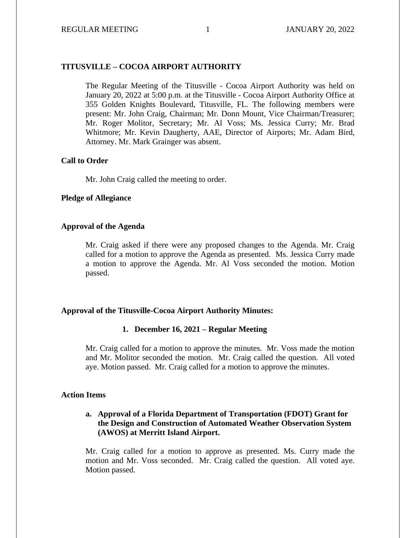## **TITUSVILLE – COCOA AIRPORT AUTHORITY**

The Regular Meeting of the Titusville - Cocoa Airport Authority was held on January 20, 2022 at 5:00 p.m. at the Titusville - Cocoa Airport Authority Office at 355 Golden Knights Boulevard, Titusville, FL. The following members were present: Mr. John Craig, Chairman; Mr. Donn Mount, Vice Chairman/Treasurer; Mr. Roger Molitor, Secretary; Mr. Al Voss; Ms. Jessica Curry; Mr. Brad Whitmore; Mr. Kevin Daugherty, AAE, Director of Airports; Mr. Adam Bird, Attorney. Mr. Mark Grainger was absent.

#### **Call to Order**

Mr. John Craig called the meeting to order.

#### **Pledge of Allegiance**

### **Approval of the Agenda**

Mr. Craig asked if there were any proposed changes to the Agenda. Mr. Craig called for a motion to approve the Agenda as presented. Ms. Jessica Curry made a motion to approve the Agenda. Mr. Al Voss seconded the motion. Motion passed.

#### **Approval of the Titusville-Cocoa Airport Authority Minutes:**

#### **1. December 16, 2021 – Regular Meeting**

Mr. Craig called for a motion to approve the minutes. Mr. Voss made the motion and Mr. Molitor seconded the motion. Mr. Craig called the question. All voted aye. Motion passed. Mr. Craig called for a motion to approve the minutes.

#### **Action Items**

#### **a. Approval of a Florida Department of Transportation (FDOT) Grant for the Design and Construction of Automated Weather Observation System (AWOS) at Merritt Island Airport.**

Mr. Craig called for a motion to approve as presented. Ms. Curry made the motion and Mr. Voss seconded. Mr. Craig called the question. All voted aye. Motion passed.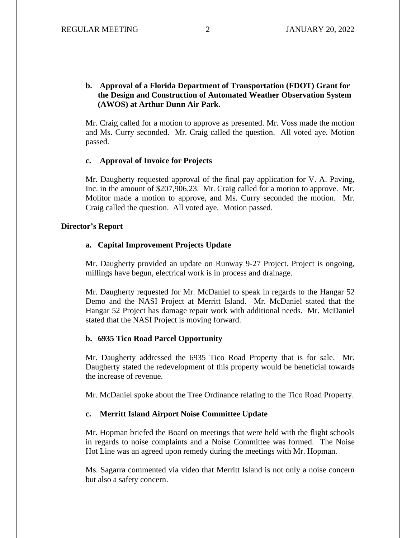### **b. Approval of a Florida Department of Transportation (FDOT) Grant for the Design and Construction of Automated Weather Observation System (AWOS) at Arthur Dunn Air Park.**

Mr. Craig called for a motion to approve as presented. Mr. Voss made the motion and Ms. Curry seconded. Mr. Craig called the question. All voted aye. Motion passed.

#### **c. Approval of Invoice for Projects**

Mr. Daugherty requested approval of the final pay application for V. A. Paving, Inc. in the amount of \$207,906.23. Mr. Craig called for a motion to approve. Mr. Molitor made a motion to approve, and Ms. Curry seconded the motion. Mr. Craig called the question. All voted aye. Motion passed.

#### **Director's Report**

#### **a. Capital Improvement Projects Update**

Mr. Daugherty provided an update on Runway 9-27 Project. Project is ongoing, millings have begun, electrical work is in process and drainage.

Mr. Daugherty requested for Mr. McDaniel to speak in regards to the Hangar 52 Demo and the NASI Project at Merritt Island. Mr. McDaniel stated that the Hangar 52 Project has damage repair work with additional needs. Mr. McDaniel stated that the NASI Project is moving forward.

#### **b. 6935 Tico Road Parcel Opportunity**

Mr. Daugherty addressed the 6935 Tico Road Property that is for sale. Mr. Daugherty stated the redevelopment of this property would be beneficial towards the increase of revenue.

Mr. McDaniel spoke about the Tree Ordinance relating to the Tico Road Property.

#### **c. Merritt Island Airport Noise Committee Update**

Mr. Hopman briefed the Board on meetings that were held with the flight schools in regards to noise complaints and a Noise Committee was formed. The Noise Hot Line was an agreed upon remedy during the meetings with Mr. Hopman.

Ms. Sagarra commented via video that Merritt Island is not only a noise concern but also a safety concern.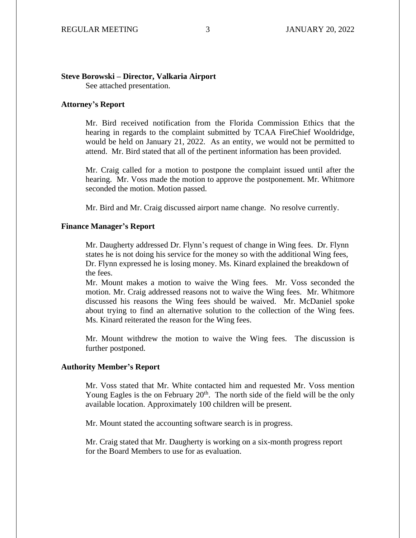#### **Steve Borowski – Director, Valkaria Airport**

See attached presentation.

#### **Attorney's Report**

Mr. Bird received notification from the Florida Commission Ethics that the hearing in regards to the complaint submitted by TCAA FireChief Wooldridge, would be held on January 21, 2022. As an entity, we would not be permitted to attend. Mr. Bird stated that all of the pertinent information has been provided.

Mr. Craig called for a motion to postpone the complaint issued until after the hearing. Mr. Voss made the motion to approve the postponement. Mr. Whitmore seconded the motion. Motion passed.

Mr. Bird and Mr. Craig discussed airport name change. No resolve currently.

#### **Finance Manager's Report**

Mr. Daugherty addressed Dr. Flynn's request of change in Wing fees. Dr. Flynn states he is not doing his service for the money so with the additional Wing fees, Dr. Flynn expressed he is losing money. Ms. Kinard explained the breakdown of the fees.

Mr. Mount makes a motion to waive the Wing fees. Mr. Voss seconded the motion. Mr. Craig addressed reasons not to waive the Wing fees. Mr. Whitmore discussed his reasons the Wing fees should be waived. Mr. McDaniel spoke about trying to find an alternative solution to the collection of the Wing fees. Ms. Kinard reiterated the reason for the Wing fees.

Mr. Mount withdrew the motion to waive the Wing fees. The discussion is further postponed.

#### **Authority Member's Report**

Mr. Voss stated that Mr. White contacted him and requested Mr. Voss mention Young Eagles is the on February  $20<sup>th</sup>$ . The north side of the field will be the only available location. Approximately 100 children will be present.

Mr. Mount stated the accounting software search is in progress.

Mr. Craig stated that Mr. Daugherty is working on a six-month progress report for the Board Members to use for as evaluation.